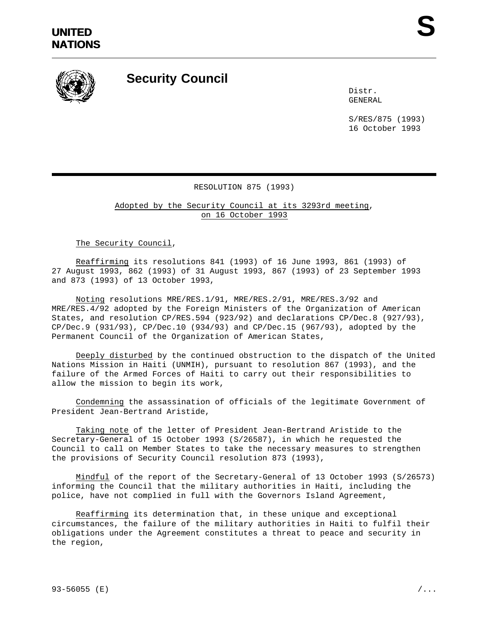

## **Security Council**

Distr. GENERAL

S/RES/875 (1993) 16 October 1993

## RESOLUTION 875 (1993)

Adopted by the Security Council at its 3293rd meeting, on 16 October 1993

The Security Council,

Reaffirming its resolutions 841 (1993) of 16 June 1993, 861 (1993) of 27 August 1993, 862 (1993) of 31 August 1993, 867 (1993) of 23 September 1993 and 873 (1993) of 13 October 1993,

Noting resolutions MRE/RES.1/91, MRE/RES.2/91, MRE/RES.3/92 and MRE/RES.4/92 adopted by the Foreign Ministers of the Organization of American States, and resolution CP/RES.594 (923/92) and declarations CP/Dec.8 (927/93), CP/Dec.9 (931/93), CP/Dec.10 (934/93) and CP/Dec.15 (967/93), adopted by the Permanent Council of the Organization of American States,

Deeply disturbed by the continued obstruction to the dispatch of the United Nations Mission in Haiti (UNMIH), pursuant to resolution 867 (1993), and the failure of the Armed Forces of Haiti to carry out their responsibilities to allow the mission to begin its work,

Condemning the assassination of officials of the legitimate Government of President Jean-Bertrand Aristide,

Taking note of the letter of President Jean-Bertrand Aristide to the Secretary-General of 15 October 1993 (S/26587), in which he requested the Council to call on Member States to take the necessary measures to strengthen the provisions of Security Council resolution 873 (1993),

Mindful of the report of the Secretary-General of 13 October 1993 (S/26573) informing the Council that the military authorities in Haiti, including the police, have not complied in full with the Governors Island Agreement,

Reaffirming its determination that, in these unique and exceptional circumstances, the failure of the military authorities in Haiti to fulfil their obligations under the Agreement constitutes a threat to peace and security in the region,